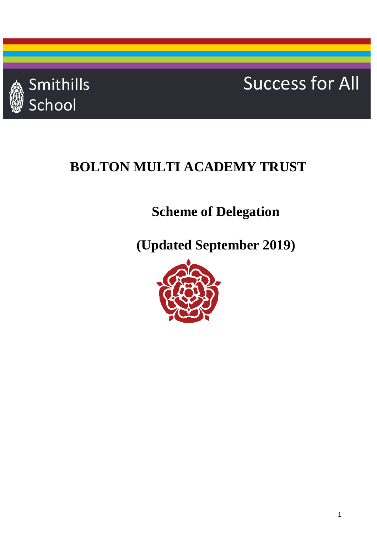

# Smithills Success for All

## **BOLTON MULTI ACADEMY TRUST**

### **Scheme of Delegation**

**(Updated September 2019)**

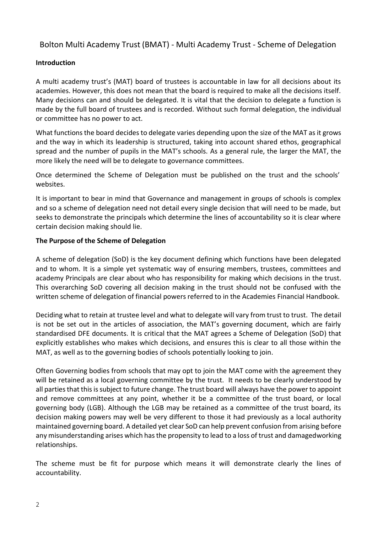#### Bolton Multi Academy Trust (BMAT) - Multi Academy Trust - Scheme of Delegation

#### **Introduction**

A multi academy trust's (MAT) board of trustees is accountable in law for all decisions about its academies. However, this does not mean that the board is required to make all the decisions itself. Many decisions can and should be delegated. It is vital that the decision to delegate a function is made by the full board of trustees and is recorded. Without such formal delegation, the individual or committee has no power to act.

What functions the board decides to delegate varies depending upon the size of the MAT as it grows and the way in which its leadership is structured, taking into account shared ethos, geographical spread and the number of pupils in the MAT's schools. As a general rule, the larger the MAT, the more likely the need will be to delegate to governance committees.

Once determined the Scheme of Delegation must be published on the trust and the schools' websites.

It is important to bear in mind that Governance and management in groups of schools is complex and so a scheme of delegation need not detail every single decision that will need to be made, but seeks to demonstrate the principals which determine the lines of accountability so it is clear where certain decision making should lie.

#### **The Purpose of the Scheme of Delegation**

A scheme of delegation (SoD) is the key document defining which functions have been delegated and to whom. It is a simple yet systematic way of ensuring members, trustees, committees and academy Principals are clear about who has responsibility for making which decisions in the trust. This overarching SoD covering all decision making in the trust should not be confused with the written scheme of delegation of financial powers referred to in the Academies Financial Handbook.

Deciding what to retain at trustee level and what to delegate will vary from trust to trust. The detail is not be set out in the articles of association, the MAT's governing document, which are fairly standardised DFE documents. It is critical that the MAT agrees a Scheme of Delegation (SoD) that explicitly establishes who makes which decisions, and ensures this is clear to all those within the MAT, as well as to the governing bodies of schools potentially looking to join.

Often Governing bodies from schools that may opt to join the MAT come with the agreement they will be retained as a local governing committee by the trust. It needs to be clearly understood by all parties that this is subject to future change. The trust board will always have the power to appoint and remove committees at any point, whether it be a committee of the trust board, or local governing body (LGB). Although the LGB may be retained as a committee of the trust board, its decision making powers may well be very different to those it had previously as a local authority maintained governing board. A detailed yet clear SoD can help prevent confusion from arising before any misunderstanding arises which has the propensity to lead to a loss of trust and damagedworking relationships.

The scheme must be fit for purpose which means it will demonstrate clearly the lines of accountability.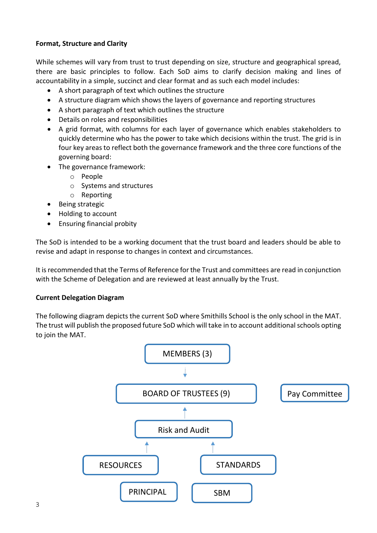#### **Format, Structure and Clarity**

While schemes will vary from trust to trust depending on size, structure and geographical spread, there are basic principles to follow. Each SoD aims to clarify decision making and lines of accountability in a simple, succinct and clear format and as such each model includes:

- A short paragraph of text which outlines the structure
- A structure diagram which shows the layers of governance and reporting structures
- A short paragraph of text which outlines the structure
- Details on roles and responsibilities
- A grid format, with columns for each layer of governance which enables stakeholders to quickly determine who has the power to take which decisions within the trust. The grid is in four key areasto reflect both the governance framework and the three core functions of the governing board:
- The governance framework:
	- o People
	- o Systems and structures
	- o Reporting
- **•** Being strategic
- Holding to account
- Ensuring financial probity

The SoD is intended to be a working document that the trust board and leaders should be able to revise and adapt in response to changes in context and circumstances.

It isrecommended that the Terms of Reference for the Trust and committees are read in conjunction with the Scheme of Delegation and are reviewed at least annually by the Trust.

#### **Current Delegation Diagram**

The following diagram depicts the current SoD where Smithills School is the only school in the MAT. The trust will publish the proposed future SoD which will take in to account additionalschools opting to join the MAT.

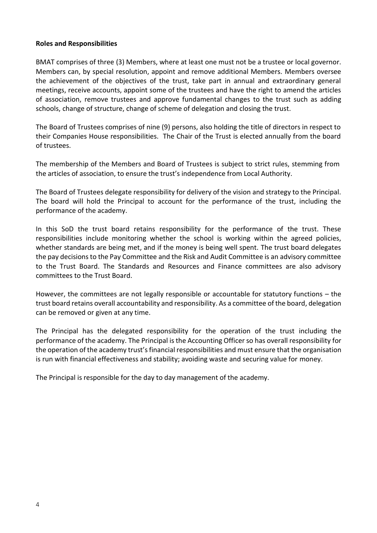#### **Roles and Responsibilities**

BMAT comprises of three (3) Members, where at least one must not be a trustee or local governor. Members can, by special resolution, appoint and remove additional Members. Members oversee the achievement of the objectives of the trust, take part in annual and extraordinary general meetings, receive accounts, appoint some of the trustees and have the right to amend the articles of association, remove trustees and approve fundamental changes to the trust such as adding schools, change of structure, change of scheme of delegation and closing the trust.

The Board of Trustees comprises of nine (9) persons, also holding the title of directors in respect to their Companies House responsibilities. The Chair of the Trust is elected annually from the board of trustees.

The membership of the Members and Board of Trustees is subject to strict rules, stemming from the articles of association, to ensure the trust's independence from Local Authority.

The Board of Trustees delegate responsibility for delivery of the vision and strategy to the Principal. The board will hold the Principal to account for the performance of the trust, including the performance of the academy.

In this SoD the trust board retains responsibility for the performance of the trust. These responsibilities include monitoring whether the school is working within the agreed policies, whether standards are being met, and if the money is being well spent. The trust board delegates the pay decisions to the Pay Committee and the Risk and Audit Committee is an advisory committee to the Trust Board. The Standards and Resources and Finance committees are also advisory committees to the Trust Board.

However, the committees are not legally responsible or accountable for statutory functions – the trust board retains overall accountability and responsibility. As a committee of the board, delegation can be removed or given at any time.

The Principal has the delegated responsibility for the operation of the trust including the performance of the academy. The Principal is the Accounting Officer so has overall responsibility for the operation of the academy trust'sfinancial responsibilities and must ensure that the organisation is run with financial effectiveness and stability; avoiding waste and securing value for money.

The Principal is responsible for the day to day management of the academy.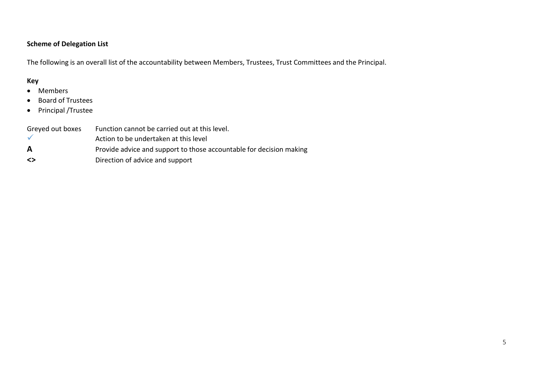### **Scheme of Delegation List**

The following is an overall list of the accountability between Members, Trustees, Trust Committees and the Principal.

#### **Key**

- Members
- Board of Trustees
- Principal /Trustee

| Greyed out boxes | Function cannot be carried out at this level.                       |
|------------------|---------------------------------------------------------------------|
|                  | Action to be undertaken at this level                               |
| A                | Provide advice and support to those accountable for decision making |
| <>               | Direction of advice and support                                     |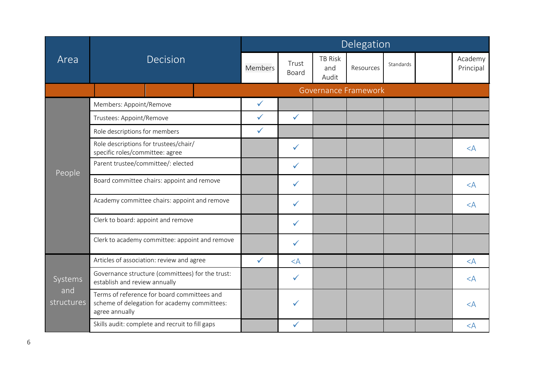|                   | Decision                                                                                                      |  | Delegation |                |                                |           |                             |  |                      |         |
|-------------------|---------------------------------------------------------------------------------------------------------------|--|------------|----------------|--------------------------------|-----------|-----------------------------|--|----------------------|---------|
| Area<br>People    |                                                                                                               |  | Members    | Trust<br>Board | <b>TB Risk</b><br>and<br>Audit | Resources | Standards                   |  | Academy<br>Principal |         |
|                   |                                                                                                               |  |            |                |                                |           | <b>Governance Framework</b> |  |                      |         |
|                   | Members: Appoint/Remove                                                                                       |  |            | $\checkmark$   |                                |           |                             |  |                      |         |
|                   | Trustees: Appoint/Remove                                                                                      |  |            | $\checkmark$   | $\checkmark$                   |           |                             |  |                      |         |
|                   | Role descriptions for members                                                                                 |  |            | $\checkmark$   |                                |           |                             |  |                      |         |
|                   | Role descriptions for trustees/chair/<br>specific roles/committee: agree                                      |  |            |                | $\checkmark$                   |           |                             |  |                      | $\lt A$ |
|                   | Parent trustee/committee/: elected                                                                            |  |            | $\checkmark$   |                                |           |                             |  |                      |         |
|                   | Board committee chairs: appoint and remove                                                                    |  |            |                | ✓                              |           |                             |  |                      | $<$ A   |
|                   | Academy committee chairs: appoint and remove                                                                  |  |            |                | $\checkmark$                   |           |                             |  |                      | $<$ $A$ |
|                   | Clerk to board: appoint and remove                                                                            |  |            |                | ✓                              |           |                             |  |                      |         |
|                   | Clerk to academy committee: appoint and remove                                                                |  |            |                | $\checkmark$                   |           |                             |  |                      |         |
|                   | Articles of association: review and agree                                                                     |  |            | $\checkmark$   | $<$ $A$                        |           |                             |  |                      | $\lt A$ |
| Systems           | Governance structure (committees) for the trust:<br>establish and review annually                             |  |            |                | $\checkmark$                   |           |                             |  |                      | $<$ A   |
| and<br>structures | Terms of reference for board committees and<br>scheme of delegation for academy committees:<br>agree annually |  |            |                |                                |           |                             |  |                      | $\lt A$ |
|                   | Skills audit: complete and recruit to fill gaps                                                               |  |            |                | ✓                              |           |                             |  |                      | $<$ A   |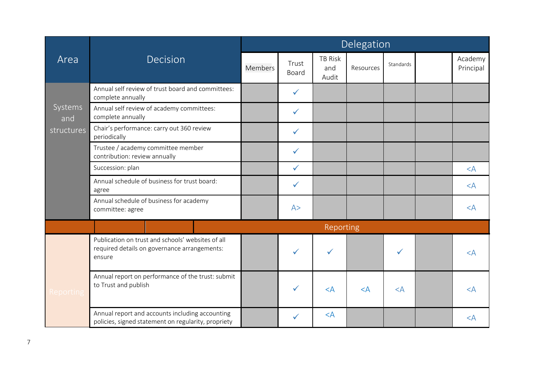|                                     |                                                                                                             | Delegation     |                |                                |           |           |  |                      |  |  |
|-------------------------------------|-------------------------------------------------------------------------------------------------------------|----------------|----------------|--------------------------------|-----------|-----------|--|----------------------|--|--|
| Area<br>Systems<br>and<br>Reporting | Decision                                                                                                    | <b>Members</b> | Trust<br>Board | <b>TB Risk</b><br>and<br>Audit | Resources | Standards |  | Academy<br>Principal |  |  |
|                                     | Annual self review of trust board and committees:<br>complete annually                                      |                | $\checkmark$   |                                |           |           |  |                      |  |  |
|                                     | Annual self review of academy committees:<br>complete annually                                              |                | $\checkmark$   |                                |           |           |  |                      |  |  |
| structures                          | Chair's performance: carry out 360 review<br>periodically                                                   |                | $\checkmark$   |                                |           |           |  |                      |  |  |
|                                     | Trustee / academy committee member<br>contribution: review annually                                         |                | $\checkmark$   |                                |           |           |  |                      |  |  |
|                                     | Succession: plan                                                                                            |                | $\checkmark$   |                                |           |           |  | $<$ A                |  |  |
|                                     | Annual schedule of business for trust board:<br>agree                                                       |                | $\checkmark$   |                                |           |           |  | $<$ $A$              |  |  |
|                                     | Annual schedule of business for academy<br>committee: agree                                                 |                | A>             |                                |           |           |  | $\leq$ A             |  |  |
|                                     |                                                                                                             |                |                | Reporting                      |           |           |  |                      |  |  |
|                                     | Publication on trust and schools' websites of all<br>required details on governance arrangements:<br>ensure |                |                |                                |           |           |  | $\lt A$              |  |  |
|                                     | Annual report on performance of the trust: submit<br>to Trust and publish                                   |                | ✓              | $<$ A                          | $<$ A     | $\lt A$   |  | $<$ $A$              |  |  |
|                                     | Annual report and accounts including accounting<br>policies, signed statement on regularity, propriety      |                | $\checkmark$   | $<$ A                          |           |           |  | $\lt A$              |  |  |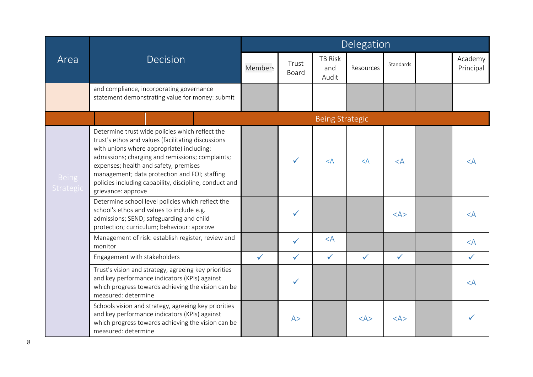|                                                                                                                                                                                                                                                                                                                                                                                                                                                                                                                                                                                                                                                                                                                                                                                                                                                                                                                                                                                                                                                                                                                                     |                                                                           | Delegation     |                                |                        |              |              |                      |              |  |
|-------------------------------------------------------------------------------------------------------------------------------------------------------------------------------------------------------------------------------------------------------------------------------------------------------------------------------------------------------------------------------------------------------------------------------------------------------------------------------------------------------------------------------------------------------------------------------------------------------------------------------------------------------------------------------------------------------------------------------------------------------------------------------------------------------------------------------------------------------------------------------------------------------------------------------------------------------------------------------------------------------------------------------------------------------------------------------------------------------------------------------------|---------------------------------------------------------------------------|----------------|--------------------------------|------------------------|--------------|--------------|----------------------|--------------|--|
| Area<br><b>Decision</b><br>and compliance, incorporating governance<br>statement demonstrating value for money: submit<br>Determine trust wide policies which reflect the<br>trust's ethos and values (facilitating discussions<br>with unions where appropriate) including:<br>admissions; charging and remissions; complaints;<br>expenses; health and safety, premises<br>management; data protection and FOI; staffing<br><b>Being</b><br>policies including capability, discipline, conduct and<br>Strategic<br>grievance: approve<br>Determine school level policies which reflect the<br>school's ethos and values to include e.g.<br>admissions; SEND; safeguarding and child<br>protection; curriculum; behaviour: approve<br>Management of risk: establish register, review and<br>monitor<br>Engagement with stakeholders<br>Trust's vision and strategy, agreeing key priorities<br>and key performance indicators (KPIs) against<br>which progress towards achieving the vision can be<br>measured: determine<br>Schools vision and strategy, agreeing key priorities<br>and key performance indicators (KPIs) against | Members                                                                   | Trust<br>Board | <b>TB Risk</b><br>and<br>Audit | Resources              | Standards    |              | Academy<br>Principal |              |  |
|                                                                                                                                                                                                                                                                                                                                                                                                                                                                                                                                                                                                                                                                                                                                                                                                                                                                                                                                                                                                                                                                                                                                     |                                                                           |                |                                |                        |              |              |                      |              |  |
|                                                                                                                                                                                                                                                                                                                                                                                                                                                                                                                                                                                                                                                                                                                                                                                                                                                                                                                                                                                                                                                                                                                                     |                                                                           |                |                                | <b>Being Strategic</b> |              |              |                      |              |  |
|                                                                                                                                                                                                                                                                                                                                                                                                                                                                                                                                                                                                                                                                                                                                                                                                                                                                                                                                                                                                                                                                                                                                     |                                                                           |                | $\checkmark$                   | $<$ A                  | $<$ A        | $<$ $A$      |                      | $\lt A$      |  |
|                                                                                                                                                                                                                                                                                                                                                                                                                                                                                                                                                                                                                                                                                                                                                                                                                                                                                                                                                                                                                                                                                                                                     |                                                                           |                | ✓                              |                        |              | $<\forall$ A |                      | $\leq$ A     |  |
|                                                                                                                                                                                                                                                                                                                                                                                                                                                                                                                                                                                                                                                                                                                                                                                                                                                                                                                                                                                                                                                                                                                                     |                                                                           |                | $\checkmark$                   | $\langle A$            |              |              |                      | $\prec$ A    |  |
|                                                                                                                                                                                                                                                                                                                                                                                                                                                                                                                                                                                                                                                                                                                                                                                                                                                                                                                                                                                                                                                                                                                                     |                                                                           | $\checkmark$   | $\checkmark$                   | $\checkmark$           | $\checkmark$ | $\checkmark$ |                      | $\checkmark$ |  |
|                                                                                                                                                                                                                                                                                                                                                                                                                                                                                                                                                                                                                                                                                                                                                                                                                                                                                                                                                                                                                                                                                                                                     |                                                                           |                | $\checkmark$                   |                        |              |              |                      | $\lt A$      |  |
|                                                                                                                                                                                                                                                                                                                                                                                                                                                                                                                                                                                                                                                                                                                                                                                                                                                                                                                                                                                                                                                                                                                                     | which progress towards achieving the vision can be<br>measured: determine |                | A>                             |                        | $<\forall$   | $<\forall$   |                      |              |  |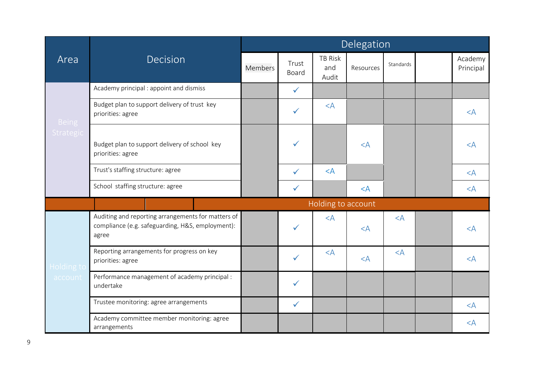|                                              |                                                                                                                 | Delegation |                |                                |           |           |  |                      |  |  |
|----------------------------------------------|-----------------------------------------------------------------------------------------------------------------|------------|----------------|--------------------------------|-----------|-----------|--|----------------------|--|--|
| Area<br><b>Being</b><br>Strategic<br>account | <b>Decision</b>                                                                                                 | Members    | Trust<br>Board | <b>TB Risk</b><br>and<br>Audit | Resources | Standards |  | Academy<br>Principal |  |  |
|                                              | Academy principal : appoint and dismiss                                                                         |            | $\checkmark$   |                                |           |           |  |                      |  |  |
|                                              | Budget plan to support delivery of trust key<br>priorities: agree                                               |            | $\checkmark$   | $<$ A                          |           |           |  | $<$ $A$              |  |  |
|                                              | Budget plan to support delivery of school key<br>priorities: agree                                              |            | $\checkmark$   |                                | $<$ A     |           |  | $\lt A$              |  |  |
|                                              | Trust's staffing structure: agree                                                                               |            | $\checkmark$   | $<$ A                          |           |           |  | $<$ A                |  |  |
|                                              | School staffing structure: agree                                                                                |            | $\checkmark$   |                                | $<$ A     |           |  | $<$ A                |  |  |
|                                              |                                                                                                                 |            |                | Holding to account             |           |           |  |                      |  |  |
|                                              | Auditing and reporting arrangements for matters of<br>compliance (e.g. safeguarding, H&S, employment):<br>agree |            | ✓              | $<$ A                          | $<$ $A$   | $<$ $A$   |  | $\leq$ A             |  |  |
| Holding to                                   | Reporting arrangements for progress on key<br>priorities: agree                                                 |            | $\checkmark$   | $<$ A                          | $<$ A     | $<$ A     |  | $<$ $A$              |  |  |
|                                              | Performance management of academy principal :<br>undertake                                                      |            | $\checkmark$   |                                |           |           |  |                      |  |  |
|                                              | Trustee monitoring: agree arrangements                                                                          |            | $\checkmark$   |                                |           |           |  | $<$ A                |  |  |
|                                              | Academy committee member monitoring: agree<br>arrangements                                                      |            |                |                                |           |           |  | $<$ A                |  |  |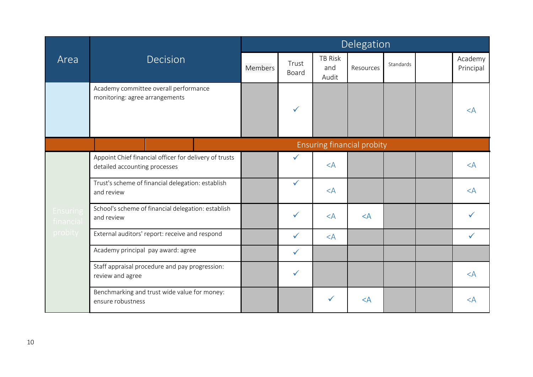|                       |                                                                                         | Delegation |                |                         |                            |           |  |                      |  |  |
|-----------------------|-----------------------------------------------------------------------------------------|------------|----------------|-------------------------|----------------------------|-----------|--|----------------------|--|--|
| Area                  | Decision                                                                                | Members    | Trust<br>Board | TB Risk<br>and<br>Audit | Resources                  | Standards |  | Academy<br>Principal |  |  |
|                       | Academy committee overall performance<br>monitoring: agree arrangements                 |            | $\checkmark$   |                         |                            |           |  | $\lt A$              |  |  |
|                       |                                                                                         |            |                |                         | Ensuring financial probity |           |  |                      |  |  |
|                       | Appoint Chief financial officer for delivery of trusts<br>detailed accounting processes |            | ✓              | $<$ A                   |                            |           |  | $<$ A                |  |  |
|                       | Trust's scheme of financial delegation: establish<br>and review                         |            | $\checkmark$   | $<$ A                   |                            |           |  | $<$ A                |  |  |
| Ensuring<br>financial | School's scheme of financial delegation: establish<br>and review                        |            | $\checkmark$   | $<$ A                   | $\leq$ A                   |           |  |                      |  |  |
| probity               | External auditors' report: receive and respond                                          |            | $\checkmark$   | $<$ A                   |                            |           |  | $\checkmark$         |  |  |
|                       | Academy principal pay award: agree                                                      |            | $\checkmark$   |                         |                            |           |  |                      |  |  |
|                       | Staff appraisal procedure and pay progression:<br>review and agree                      |            | $\checkmark$   |                         |                            |           |  | $<$ A                |  |  |
|                       | Benchmarking and trust wide value for money:<br>ensure robustness                       |            |                | $\checkmark$            | $<$ A                      |           |  | $<$ A                |  |  |